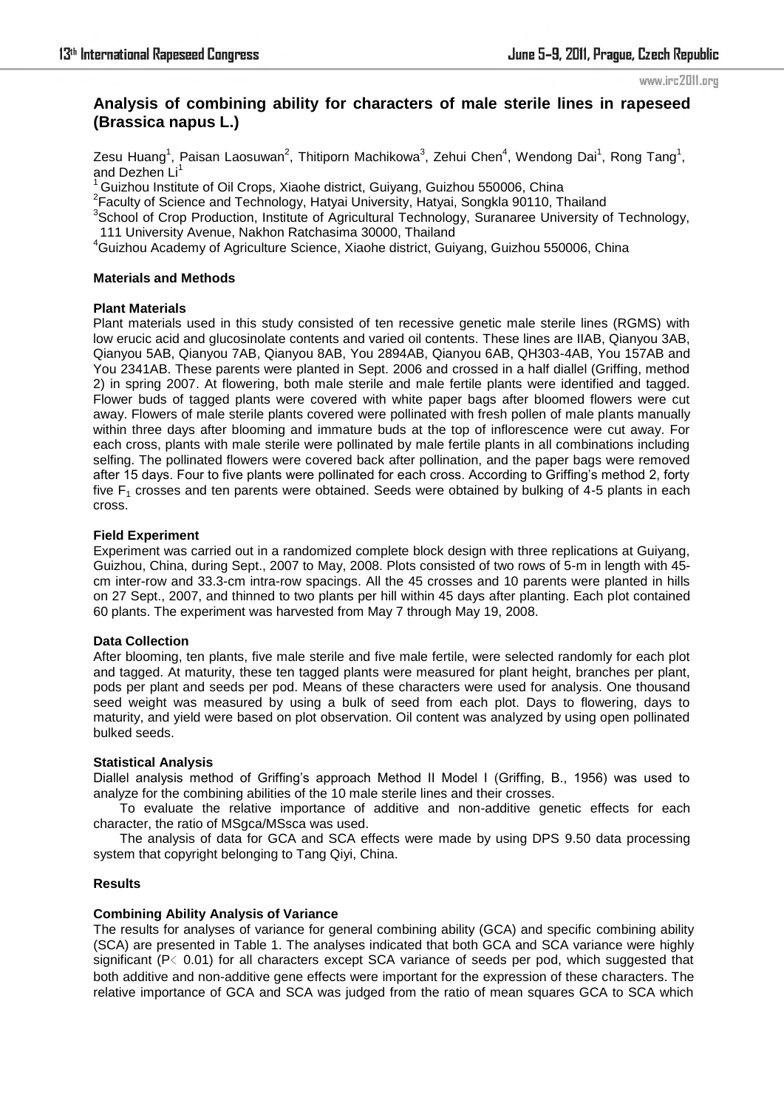# **Analysis of combining ability for characters of male sterile lines in rapeseed (Brassica napus L.)**

Zesu Huang<sup>1</sup>, Paisan Laosuwan<sup>2</sup>, Thitiporn Machikowa<sup>3</sup>, Zehui Chen<sup>4</sup>, Wendong Dai<sup>1</sup>, Rong Tang<sup>1</sup>, and Dezhen Li<sup>1</sup>

 $1$ Guizhou Institute of Oil Crops, Xiaohe district, Guiyang, Guizhou 550006, China

<sup>2</sup> Faculty of Science and Technology, Hatyai University, Hatyai, Songkla 90110, Thailand

<sup>3</sup>School of Crop Production, Institute of Agricultural Technology, Suranaree University of Technology,

111 University Avenue, Nakhon Ratchasima 30000, Thailand

<sup>4</sup>Guizhou Academy of Agriculture Science, Xiaohe district, Guiyang, Guizhou 550006, China

# **Materials and Methods**

### **Plant Materials**

Plant materials used in this study consisted of ten recessive genetic male sterile lines (RGMS) with low erucic acid and glucosinolate contents and varied oil contents. These lines are IIAB, Qianyou 3AB, Qianyou 5AB, Qianyou 7AB, Qianyou 8AB, You 2894AB, Qianyou 6AB, QH303-4AB, You 157AB and You 2341AB. These parents were planted in Sept. 2006 and crossed in a half diallel (Griffing, method 2) in spring 2007. At flowering, both male sterile and male fertile plants were identified and tagged. Flower buds of tagged plants were covered with white paper bags after bloomed flowers were cut away. Flowers of male sterile plants covered were pollinated with fresh pollen of male plants manually within three days after blooming and immature buds at the top of inflorescence were cut away. For each cross, plants with male sterile were pollinated by male fertile plants in all combinations including selfing. The pollinated flowers were covered back after pollination, and the paper bags were removed after 15 days. Four to five plants were pollinated for each cross. According to Griffing's method 2, forty five  $F_1$  crosses and ten parents were obtained. Seeds were obtained by bulking of 4-5 plants in each cross.

# **Field Experiment**

Experiment was carried out in a randomized complete block design with three replications at Guiyang, Guizhou, China, during Sept., 2007 to May, 2008. Plots consisted of two rows of 5-m in length with 45 cm inter-row and 33.3-cm intra-row spacings. All the 45 crosses and 10 parents were planted in hills on 27 Sept., 2007, and thinned to two plants per hill within 45 days after planting. Each plot contained 60 plants. The experiment was harvested from May 7 through May 19, 2008.

# **Data Collection**

After blooming, ten plants, five male sterile and five male fertile, were selected randomly for each plot and tagged. At maturity, these ten tagged plants were measured for plant height, branches per plant, pods per plant and seeds per pod. Means of these characters were used for analysis. One thousand seed weight was measured by using a bulk of seed from each plot. Days to flowering, days to maturity, and yield were based on plot observation. Oil content was analyzed by using open pollinated bulked seeds.

### **Statistical Analysis**

Diallel analysis method of Griffing's approach Method II Model I (Griffing, B., 1956) was used to analyze for the combining abilities of the 10 male sterile lines and their crosses.

To evaluate the relative importance of additive and non-additive genetic effects for each character, the ratio of MSgca/MSsca was used.

The analysis of data for GCA and SCA effects were made by using DPS 9.50 data processing system that copyright belonging to Tang Qiyi, China.

#### **Results**

# **Combining Ability Analysis of Variance**

The results for analyses of variance for general combining ability (GCA) and specific combining ability (SCA) are presented in Table 1. The analyses indicated that both GCA and SCA variance were highly significant ( $P \leq 0.01$ ) for all characters except SCA variance of seeds per pod, which suggested that both additive and non-additive gene effects were important for the expression of these characters. The relative importance of GCA and SCA was judged from the ratio of mean squares GCA to SCA which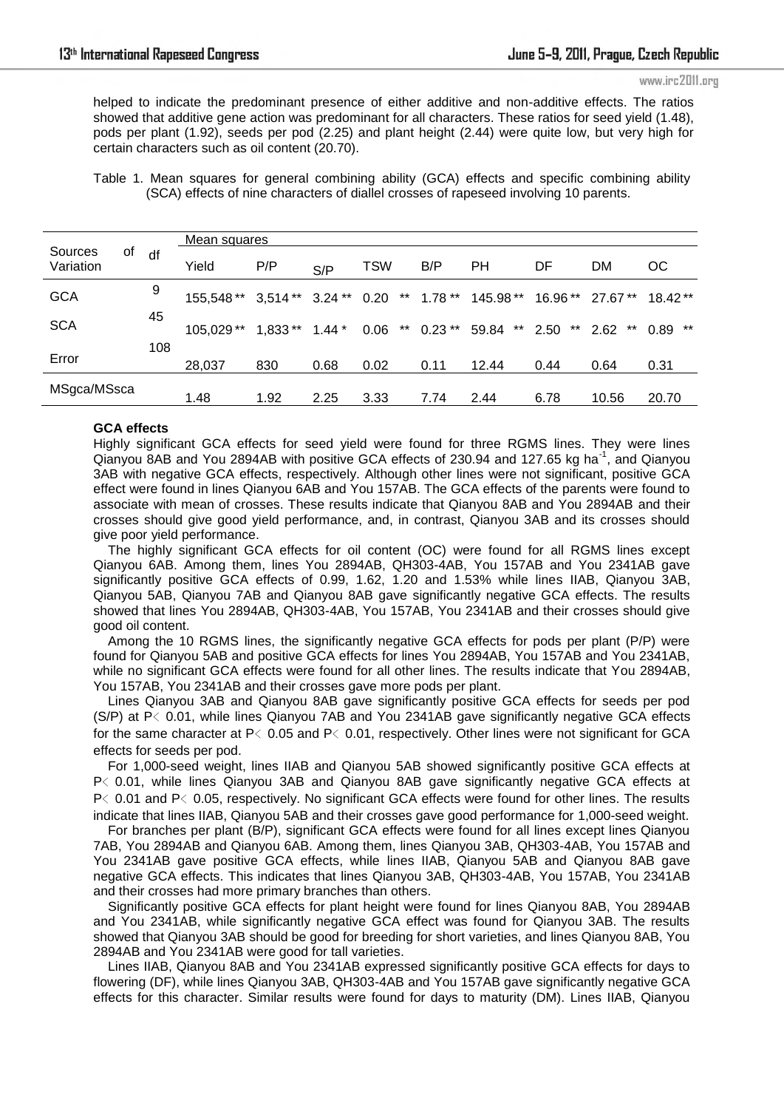helped to indicate the predominant presence of either additive and non-additive effects. The ratios showed that additive gene action was predominant for all characters. These ratios for seed yield (1.48), pods per plant (1.92), seeds per pod (2.25) and plant height (2.44) were quite low, but very high for certain characters such as oil content (20.70).

Table 1. Mean squares for general combining ability (GCA) effects and specific combining ability (SCA) effects of nine characters of diallel crosses of rapeseed involving 10 parents.

|                      |    |     | Mean squares |                   |         |            |                    |           |                  |                 |               |
|----------------------|----|-----|--------------|-------------------|---------|------------|--------------------|-----------|------------------|-----------------|---------------|
| Sources<br>Variation | οf | df  | Yield        | P/P               | S/P     | <b>TSW</b> | B/P                | РH        | DF               | DM              | OС            |
| <b>GCA</b>           |    | 9   | 155,548 **   | $3,514**$ 3.24 ** |         | 0.20       | $***$<br>$1.78***$ | 145.98 ** |                  | 16.96** 27.67** | 18.42**       |
| <b>SCA</b>           |    | 45  | 105,029**    | $1,833**$         | $1.44*$ | 0.06       | ** $0.23$ **       | 59.84     | ** 2.50<br>$***$ | $***$<br>2.62   | $***$<br>0.89 |
| Error                |    | 108 | 28,037       | 830               | 0.68    | 0.02       | 0.11               | 12.44     | 0.44             | 0.64            | 0.31          |
| MSgca/MSsca          |    |     | 1.48         | 1.92              | 2.25    | 3.33       | 7.74               | 2.44      | 6.78             | 10.56           | 20.70         |

### **GCA effects**

Highly significant GCA effects for seed yield were found for three RGMS lines. They were lines Qianyou 8AB and You 2894AB with positive GCA effects of 230.94 and 127.65 kg ha<sup>-1</sup>, and Qianyou 3AB with negative GCA effects, respectively. Although other lines were not significant, positive GCA effect were found in lines Qianyou 6AB and You 157AB. The GCA effects of the parents were found to associate with mean of crosses. These results indicate that Qianyou 8AB and You 2894AB and their crosses should give good yield performance, and, in contrast, Qianyou 3AB and its crosses should give poor yield performance.

 The highly significant GCA effects for oil content (OC) were found for all RGMS lines except Qianyou 6AB. Among them, lines You 2894AB, QH303-4AB, You 157AB and You 2341AB gave significantly positive GCA effects of 0.99, 1.62, 1.20 and 1.53% while lines IIAB, Qianyou 3AB, Qianyou 5AB, Qianyou 7AB and Qianyou 8AB gave significantly negative GCA effects. The results showed that lines You 2894AB, QH303-4AB, You 157AB, You 2341AB and their crosses should give good oil content.

 Among the 10 RGMS lines, the significantly negative GCA effects for pods per plant (P/P) were found for Qianyou 5AB and positive GCA effects for lines You 2894AB, You 157AB and You 2341AB, while no significant GCA effects were found for all other lines. The results indicate that You 2894AB, You 157AB, You 2341AB and their crosses gave more pods per plant.

 Lines Qianyou 3AB and Qianyou 8AB gave significantly positive GCA effects for seeds per pod (S/P) at P﹤0.01, while lines Qianyou 7AB and You 2341AB gave significantly negative GCA effects for the same character at P $\leq$  0.05 and P $\leq$  0.01, respectively. Other lines were not significant for GCA effects for seeds per pod.

 For 1,000-seed weight, lines IIAB and Qianyou 5AB showed significantly positive GCA effects at P< 0.01, while lines Qianyou 3AB and Qianyou 8AB gave significantly negative GCA effects at P
ightarrow P
ightarrow P
ightarrow P
ightarrow P
ightarrow Point of the results Point SCA effects were found for other lines. The results indicate that lines IIAB, Qianyou 5AB and their crosses gave good performance for 1,000-seed weight.

 For branches per plant (B/P), significant GCA effects were found for all lines except lines Qianyou 7AB, You 2894AB and Qianyou 6AB. Among them, lines Qianyou 3AB, QH303-4AB, You 157AB and You 2341AB gave positive GCA effects, while lines IIAB, Qianyou 5AB and Qianyou 8AB gave negative GCA effects. This indicates that lines Qianyou 3AB, QH303-4AB, You 157AB, You 2341AB and their crosses had more primary branches than others.

 Significantly positive GCA effects for plant height were found for lines Qianyou 8AB, You 2894AB and You 2341AB, while significantly negative GCA effect was found for Qianyou 3AB. The results showed that Qianyou 3AB should be good for breeding for short varieties, and lines Qianyou 8AB, You 2894AB and You 2341AB were good for tall varieties.

 Lines IIAB, Qianyou 8AB and You 2341AB expressed significantly positive GCA effects for days to flowering (DF), while lines Qianyou 3AB, QH303-4AB and You 157AB gave significantly negative GCA effects for this character. Similar results were found for days to maturity (DM). Lines IIAB, Qianyou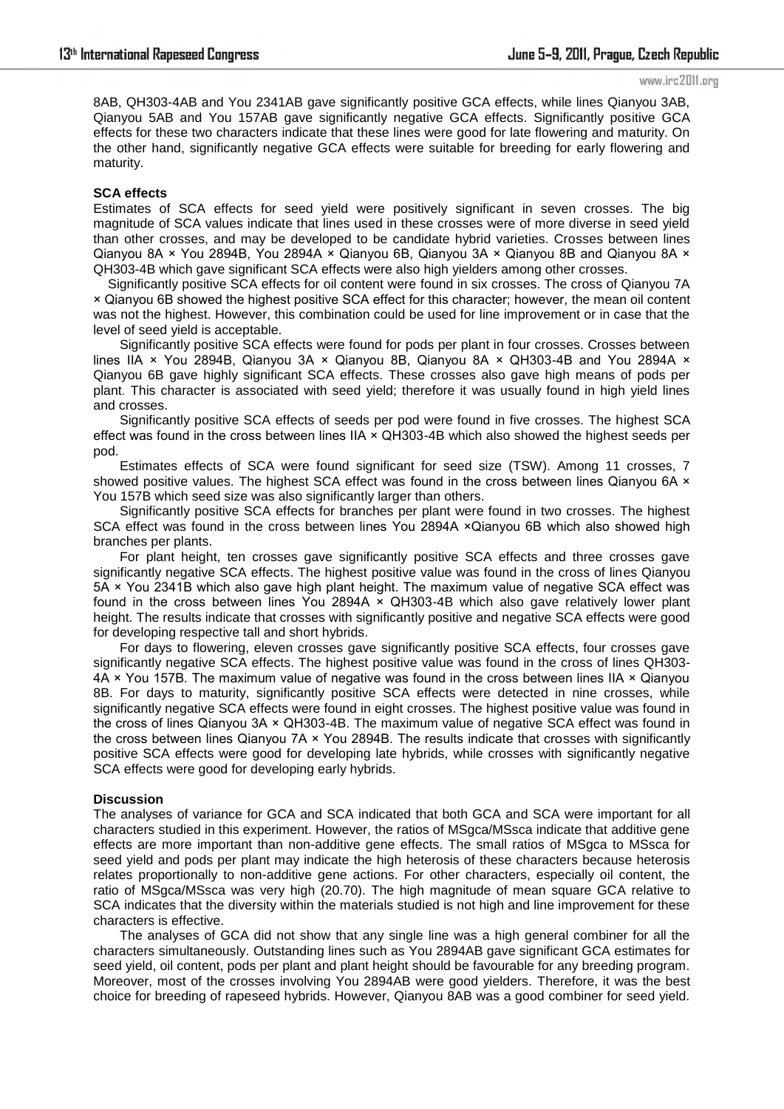8AB, QH303-4AB and You 2341AB gave significantly positive GCA effects, while lines Qianyou 3AB, Qianyou 5AB and You 157AB gave significantly negative GCA effects. Significantly positive GCA effects for these two characters indicate that these lines were good for late flowering and maturity. On the other hand, significantly negative GCA effects were suitable for breeding for early flowering and maturity.

### **SCA effects**

Estimates of SCA effects for seed yield were positively significant in seven crosses. The big magnitude of SCA values indicate that lines used in these crosses were of more diverse in seed yield than other crosses, and may be developed to be candidate hybrid varieties. Crosses between lines Qianyou 8A × You 2894B, You 2894A × Qianyou 6B, Qianyou 3A × Qianyou 8B and Qianyou 8A × QH303-4B which gave significant SCA effects were also high yielders among other crosses.

 Significantly positive SCA effects for oil content were found in six crosses. The cross of Qianyou 7A × Qianyou 6B showed the highest positive SCA effect for this character; however, the mean oil content was not the highest. However, this combination could be used for line improvement or in case that the level of seed yield is acceptable.

Significantly positive SCA effects were found for pods per plant in four crosses. Crosses between lines IIA × You 2894B, Qianyou 3A × Qianyou 8B, Qianyou 8A × QH303-4B and You 2894A × Qianyou 6B gave highly significant SCA effects. These crosses also gave high means of pods per plant. This character is associated with seed yield; therefore it was usually found in high yield lines and crosses.

Significantly positive SCA effects of seeds per pod were found in five crosses. The highest SCA effect was found in the cross between lines IIA × QH303-4B which also showed the highest seeds per pod.

Estimates effects of SCA were found significant for seed size (TSW). Among 11 crosses, 7 showed positive values. The highest SCA effect was found in the cross between lines Qianyou 6A  $\times$ You 157B which seed size was also significantly larger than others.

Significantly positive SCA effects for branches per plant were found in two crosses. The highest SCA effect was found in the cross between lines You 2894A ×Qianyou 6B which also showed high branches per plants.

For plant height, ten crosses gave significantly positive SCA effects and three crosses gave significantly negative SCA effects. The highest positive value was found in the cross of lines Qianyou 5A × You 2341B which also gave high plant height. The maximum value of negative SCA effect was found in the cross between lines You 2894A × QH303-4B which also gave relatively lower plant height. The results indicate that crosses with significantly positive and negative SCA effects were good for developing respective tall and short hybrids.

For days to flowering, eleven crosses gave significantly positive SCA effects, four crosses gave significantly negative SCA effects. The highest positive value was found in the cross of lines QH303-  $4A \times$  You 157B. The maximum value of negative was found in the cross between lines IIA  $\times$  Qianyou 8B. For days to maturity, significantly positive SCA effects were detected in nine crosses, while significantly negative SCA effects were found in eight crosses. The highest positive value was found in the cross of lines Qianyou 3A × QH303-4B. The maximum value of negative SCA effect was found in the cross between lines Qianyou 7A × You 2894B. The results indicate that crosses with significantly positive SCA effects were good for developing late hybrids, while crosses with significantly negative SCA effects were good for developing early hybrids.

### **Discussion**

The analyses of variance for GCA and SCA indicated that both GCA and SCA were important for all characters studied in this experiment. However, the ratios of MSgca/MSsca indicate that additive gene effects are more important than non-additive gene effects. The small ratios of MSgca to MSsca for seed yield and pods per plant may indicate the high heterosis of these characters because heterosis relates proportionally to non-additive gene actions. For other characters, especially oil content, the ratio of MSgca/MSsca was very high (20.70). The high magnitude of mean square GCA relative to SCA indicates that the diversity within the materials studied is not high and line improvement for these characters is effective.

The analyses of GCA did not show that any single line was a high general combiner for all the characters simultaneously. Outstanding lines such as You 2894AB gave significant GCA estimates for seed yield, oil content, pods per plant and plant height should be favourable for any breeding program. Moreover, most of the crosses involving You 2894AB were good yielders. Therefore, it was the best choice for breeding of rapeseed hybrids. However, Qianyou 8AB was a good combiner for seed yield.